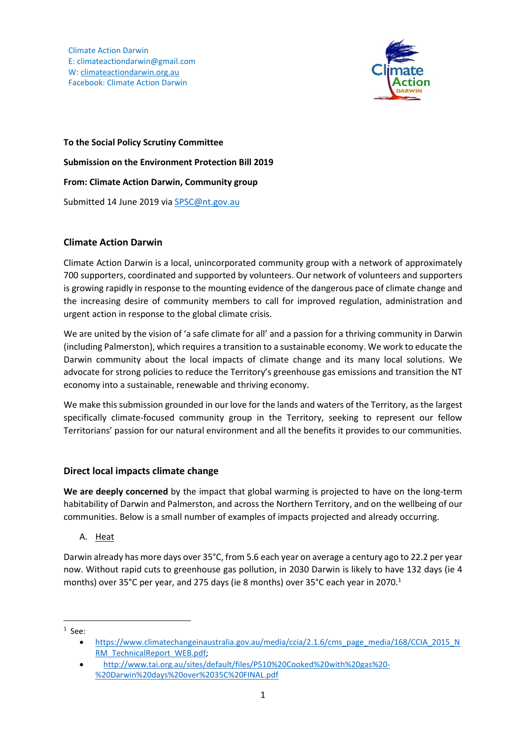Climate Action Darwin E: climateactiondarwin@gmail.com W: [climateactiondarwin.org.au](http://www.climateactiondarwin.org.au/) Facebook: Climate Action Darwin



**To the Social Policy Scrutiny Committee Submission on the Environment Protection Bill 2019 From: Climate Action Darwin, Community group**  Submitted 14 June 2019 vi[a SPSC@nt.gov.au](mailto:SPSC@nt.gov.au)

# **Climate Action Darwin**

Climate Action Darwin is a local, unincorporated community group with a network of approximately 700 supporters, coordinated and supported by volunteers. Our network of volunteers and supporters is growing rapidly in response to the mounting evidence of the dangerous pace of climate change and the increasing desire of community members to call for improved regulation, administration and urgent action in response to the global climate crisis.

We are united by the vision of 'a safe climate for all' and a passion for a thriving community in Darwin (including Palmerston), which requires a transition to a sustainable economy. We work to educate the Darwin community about the local impacts of climate change and its many local solutions. We advocate for strong policies to reduce the Territory's greenhouse gas emissions and transition the NT economy into a sustainable, renewable and thriving economy.

We make this submission grounded in our love for the lands and waters of the Territory, as the largest specifically climate-focused community group in the Territory, seeking to represent our fellow Territorians' passion for our natural environment and all the benefits it provides to our communities.

# **Direct local impacts climate change**

**We are deeply concerned** by the impact that global warming is projected to have on the long-term habitability of Darwin and Palmerston, and across the Northern Territory, and on the wellbeing of our communities. Below is a small number of examples of impacts projected and already occurring.

A. Heat

Darwin already has more days over 35°C, from 5.6 each year on average a century ago to 22.2 per year now. Without rapid cuts to greenhouse gas pollution, in 2030 Darwin is likely to have 132 days (ie 4 months) over 35°C per year, and 275 days (ie 8 months) over 35°C each year in 2070.<sup>1</sup>

 $\overline{a}$  $<sup>1</sup>$  See:</sup>

[https://www.climatechangeinaustralia.gov.au/media/ccia/2.1.6/cms\\_page\\_media/168/CCIA\\_2015\\_N](https://www.climatechangeinaustralia.gov.au/media/ccia/2.1.6/cms_page_media/168/CCIA_2015_NRM_TechnicalReport_WEB.pdf) [RM\\_TechnicalReport\\_WEB.pdf;](https://www.climatechangeinaustralia.gov.au/media/ccia/2.1.6/cms_page_media/168/CCIA_2015_NRM_TechnicalReport_WEB.pdf)

[http://www.tai.org.au/sites/default/files/P510%20Cooked%20with%20gas%20-](http://www.tai.org.au/sites/default/files/P510%20Cooked%20with%20gas%20-%20Darwin%20days%20over%2035C%20FINAL.pdf) [%20Darwin%20days%20over%2035C%20FINAL.pdf](http://www.tai.org.au/sites/default/files/P510%20Cooked%20with%20gas%20-%20Darwin%20days%20over%2035C%20FINAL.pdf)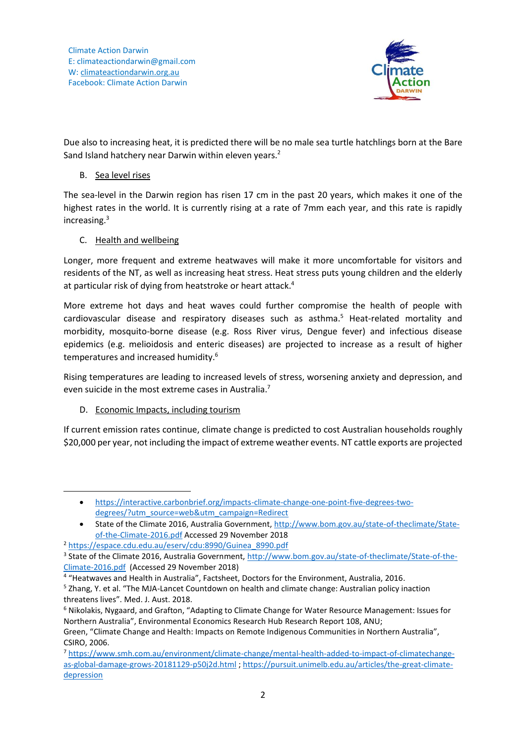

Due also to increasing heat, it is predicted there will be no male sea turtle hatchlings born at the Bare Sand Island hatchery near Darwin within eleven years.<sup>2</sup>

### B. Sea level rises

The sea-level in the Darwin region has risen 17 cm in the past 20 years, which makes it one of the highest rates in the world. It is currently rising at a rate of 7mm each year, and this rate is rapidly increasing. 3

## C. Health and wellbeing

Longer, more frequent and extreme heatwaves will make it more uncomfortable for visitors and residents of the NT, as well as increasing heat stress. Heat stress puts young children and the elderly at particular risk of dying from heatstroke or heart attack.<sup>4</sup>

More extreme hot days and heat waves could further compromise the health of people with cardiovascular disease and respiratory diseases such as asthma.<sup>5</sup> Heat-related mortality and morbidity, mosquito-borne disease (e.g. Ross River virus, Dengue fever) and infectious disease epidemics (e.g. melioidosis and enteric diseases) are projected to increase as a result of higher temperatures and increased humidity. 6

Rising temperatures are leading to increased levels of stress, worsening anxiety and depression, and even suicide in the most extreme cases in Australia.<sup>7</sup>

# D. Economic Impacts, including tourism

**.** 

If current emission rates continue, climate change is predicted to cost Australian households roughly \$20,000 per year, not including the impact of extreme weather events. NT cattle exports are projected

<sup>4</sup> "Heatwaves and Health in Australia", Factsheet, Doctors for the Environment, Australia, 2016.

[https://interactive.carbonbrief.org/impacts-climate-change-one-point-five-degrees-two](https://interactive.carbonbrief.org/impacts-climate-change-one-point-five-degrees-two-degrees/?utm_source=web&utm_campaign=Redirect)[degrees/?utm\\_source=web&utm\\_campaign=Redirect](https://interactive.carbonbrief.org/impacts-climate-change-one-point-five-degrees-two-degrees/?utm_source=web&utm_campaign=Redirect)

State of the Climate 2016, Australia Government, [http://www.bom.gov.au/state-of-theclimate/State](http://www.bom.gov.au/state-of-theclimate/State-of-the-Climate-2016.pdf)[of-the-Climate-2016.pdf](http://www.bom.gov.au/state-of-theclimate/State-of-the-Climate-2016.pdf) Accessed 29 November 2018

<sup>2</sup> [https://espace.cdu.edu.au/eserv/cdu:8990/Guinea\\_8990.pdf](https://espace.cdu.edu.au/eserv/cdu:8990/Guinea_8990.pdf)

<sup>&</sup>lt;sup>3</sup> State of the Climate 2016, Australia Government, [http://www.bom.gov.au/state-of-theclimate/State-of-the-](http://www.bom.gov.au/state-of-theclimate/State-of-the-Climate-2016.pdf)[Climate-2016.pdf](http://www.bom.gov.au/state-of-theclimate/State-of-the-Climate-2016.pdf) (Accessed 29 November 2018)

<sup>5</sup> Zhang, Y. et al. "The MJA-Lancet Countdown on health and climate change: Australian policy inaction threatens lives". Med. J. Aust. 2018.

<sup>6</sup> Nikolakis, Nygaard, and Grafton, "Adapting to Climate Change for Water Resource Management: Issues for Northern Australia", Environmental Economics Research Hub Research Report 108, ANU;

Green, "Climate Change and Health: Impacts on Remote Indigenous Communities in Northern Australia", CSIRO, 2006.

<sup>7</sup> [https://www.smh.com.au/environment/climate-change/mental-health-added-to-impact-of-climatechange](https://www.smh.com.au/environment/climate-change/mental-health-added-to-impact-of-climatechange-as-global-damage-grows-20181129-p50j2d.html)[as-global-damage-grows-20181129-p50j2d.html](https://www.smh.com.au/environment/climate-change/mental-health-added-to-impact-of-climatechange-as-global-damage-grows-20181129-p50j2d.html) ; [https://pursuit.unimelb.edu.au/articles/the-great-climate](https://pursuit.unimelb.edu.au/articles/the-great-climate-depression)[depression](https://pursuit.unimelb.edu.au/articles/the-great-climate-depression)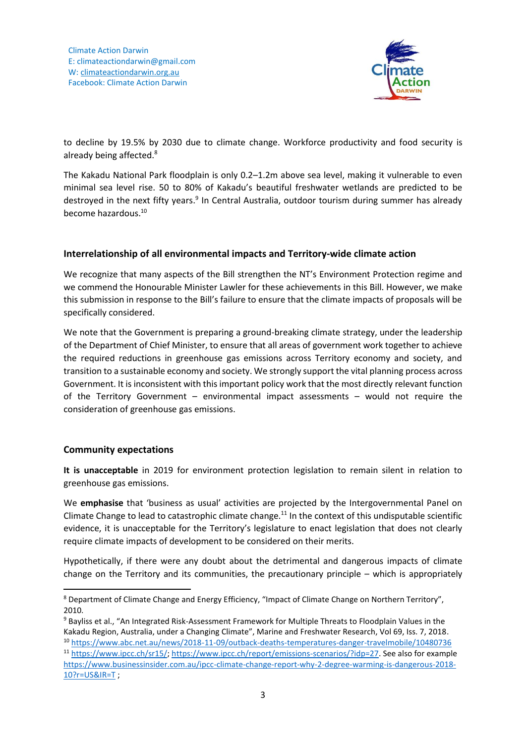

to decline by 19.5% by 2030 due to climate change. Workforce productivity and food security is already being affected.<sup>8</sup>

The Kakadu National Park floodplain is only 0.2–1.2m above sea level, making it vulnerable to even minimal sea level rise. 50 to 80% of Kakadu's beautiful freshwater wetlands are predicted to be destroyed in the next fifty years.<sup>9</sup> In Central Australia, outdoor tourism during summer has already become hazardous. 10

### **Interrelationship of all environmental impacts and Territory-wide climate action**

We recognize that many aspects of the Bill strengthen the NT's Environment Protection regime and we commend the Honourable Minister Lawler for these achievements in this Bill. However, we make this submission in response to the Bill's failure to ensure that the climate impacts of proposals will be specifically considered.

We note that the Government is preparing a ground-breaking climate strategy, under the leadership of the Department of Chief Minister, to ensure that all areas of government work together to achieve the required reductions in greenhouse gas emissions across Territory economy and society, and transition to a sustainable economy and society. We strongly support the vital planning process across Government. It is inconsistent with this important policy work that the most directly relevant function of the Territory Government – environmental impact assessments – would not require the consideration of greenhouse gas emissions.

### **Community expectations**

**.** 

**It is unacceptable** in 2019 for environment protection legislation to remain silent in relation to greenhouse gas emissions.

We **emphasise** that 'business as usual' activities are projected by the Intergovernmental Panel on Climate Change to lead to catastrophic climate change.<sup>11</sup> In the context of this undisputable scientific evidence, it is unacceptable for the Territory's legislature to enact legislation that does not clearly require climate impacts of development to be considered on their merits.

Hypothetically, if there were any doubt about the detrimental and dangerous impacts of climate change on the Territory and its communities, the precautionary principle – which is appropriately

<sup>8</sup> Department of Climate Change and Energy Efficiency, "Impact of Climate Change on Northern Territory", 2010.

<sup>9</sup> Bayliss et al., "An Integrated Risk-Assessment Framework for Multiple Threats to Floodplain Values in the Kakadu Region, Australia, under a Changing Climate", Marine and Freshwater Research, Vol 69, Iss. 7, 2018. <sup>10</sup> <https://www.abc.net.au/news/2018-11-09/outback-deaths-temperatures-danger-travelmobile/10480736>

<sup>11</sup> [https://www.ipcc.ch/sr15/;](https://www.ipcc.ch/sr15/) [https://www.ipcc.ch/report/emissions-scenarios/?idp=27.](https://www.ipcc.ch/report/emissions-scenarios/?idp=27) See also for example [https://www.businessinsider.com.au/ipcc-climate-change-report-why-2-degree-warming-is-dangerous-2018-](https://www.businessinsider.com.au/ipcc-climate-change-report-why-2-degree-warming-is-dangerous-2018-10?r=US&IR=T) [10?r=US&IR=T](https://www.businessinsider.com.au/ipcc-climate-change-report-why-2-degree-warming-is-dangerous-2018-10?r=US&IR=T) ;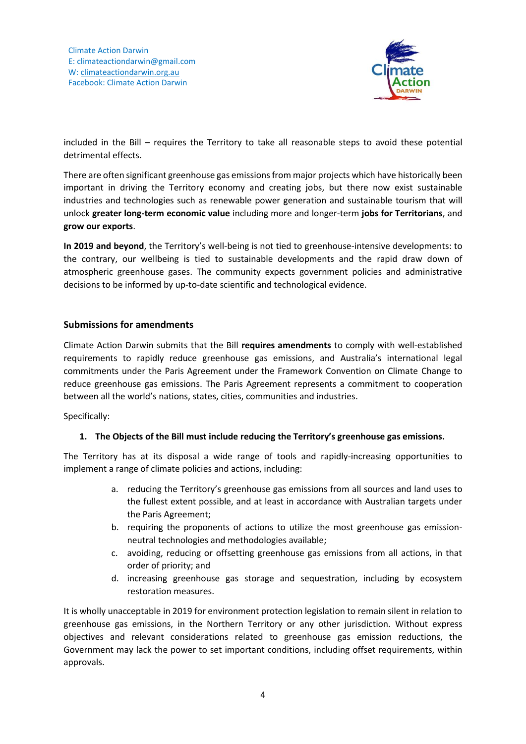

included in the Bill – requires the Territory to take all reasonable steps to avoid these potential detrimental effects.

There are often significant greenhouse gas emissions from major projects which have historically been important in driving the Territory economy and creating jobs, but there now exist sustainable industries and technologies such as renewable power generation and sustainable tourism that will unlock **greater long-term economic value** including more and longer-term **jobs for Territorians**, and **grow our exports**.

**In 2019 and beyond**, the Territory's well-being is not tied to greenhouse-intensive developments: to the contrary, our wellbeing is tied to sustainable developments and the rapid draw down of atmospheric greenhouse gases. The community expects government policies and administrative decisions to be informed by up-to-date scientific and technological evidence.

## **Submissions for amendments**

Climate Action Darwin submits that the Bill **requires amendments** to comply with well-established requirements to rapidly reduce greenhouse gas emissions, and Australia's international legal commitments under the Paris Agreement under the Framework Convention on Climate Change to reduce greenhouse gas emissions. The Paris Agreement represents a commitment to cooperation between all the world's nations, states, cities, communities and industries.

Specifically:

### **1. The Objects of the Bill must include reducing the Territory's greenhouse gas emissions.**

The Territory has at its disposal a wide range of tools and rapidly-increasing opportunities to implement a range of climate policies and actions, including:

- a. reducing the Territory's greenhouse gas emissions from all sources and land uses to the fullest extent possible, and at least in accordance with Australian targets under the Paris Agreement;
- b. requiring the proponents of actions to utilize the most greenhouse gas emissionneutral technologies and methodologies available;
- c. avoiding, reducing or offsetting greenhouse gas emissions from all actions, in that order of priority; and
- d. increasing greenhouse gas storage and sequestration, including by ecosystem restoration measures.

It is wholly unacceptable in 2019 for environment protection legislation to remain silent in relation to greenhouse gas emissions, in the Northern Territory or any other jurisdiction. Without express objectives and relevant considerations related to greenhouse gas emission reductions, the Government may lack the power to set important conditions, including offset requirements, within approvals.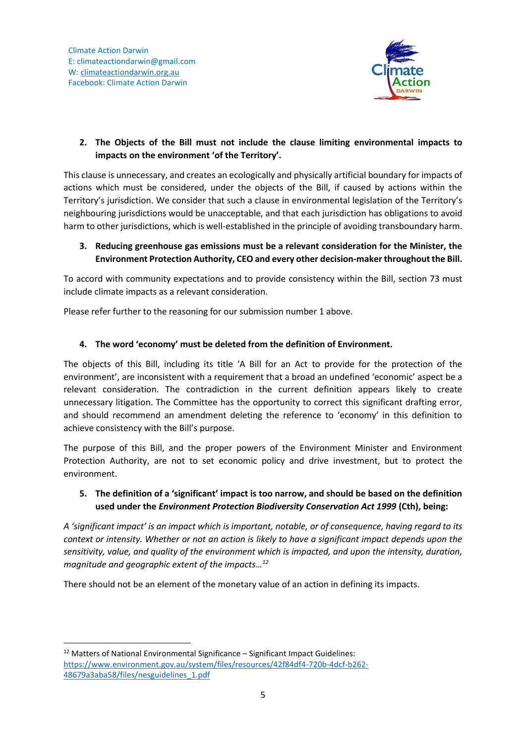

# **2. The Objects of the Bill must not include the clause limiting environmental impacts to impacts on the environment 'of the Territory'.**

This clause is unnecessary, and creates an ecologically and physically artificial boundary for impacts of actions which must be considered, under the objects of the Bill, if caused by actions within the Territory's jurisdiction. We consider that such a clause in environmental legislation of the Territory's neighbouring jurisdictions would be unacceptable, and that each jurisdiction has obligations to avoid harm to other jurisdictions, which is well-established in the principle of avoiding transboundary harm.

## **3. Reducing greenhouse gas emissions must be a relevant consideration for the Minister, the Environment Protection Authority, CEO and every other decision-maker throughout the Bill.**

To accord with community expectations and to provide consistency within the Bill, section 73 must include climate impacts as a relevant consideration.

Please refer further to the reasoning for our submission number 1 above.

# **4. The word 'economy' must be deleted from the definition of Environment.**

The objects of this Bill, including its title 'A Bill for an Act to provide for the protection of the environment', are inconsistent with a requirement that a broad an undefined 'economic' aspect be a relevant consideration. The contradiction in the current definition appears likely to create unnecessary litigation. The Committee has the opportunity to correct this significant drafting error, and should recommend an amendment deleting the reference to 'economy' in this definition to achieve consistency with the Bill's purpose.

The purpose of this Bill, and the proper powers of the Environment Minister and Environment Protection Authority, are not to set economic policy and drive investment, but to protect the environment.

## **5. The definition of a 'significant' impact is too narrow, and should be based on the definition used under the** *Environment Protection Biodiversity Conservation Act 1999* **(Cth), being:**

*A 'significant impact' is an impact which is important, notable, or of consequence, having regard to its context or intensity. Whether or not an action is likely to have a significant impact depends upon the sensitivity, value, and quality of the environment which is impacted, and upon the intensity, duration, magnitude and geographic extent of the impacts…<sup>12</sup>*

There should not be an element of the monetary value of an action in defining its impacts.

**<sup>.</sup>**  $12$  Matters of National Environmental Significance – Significant Impact Guidelines: [https://www.environment.gov.au/system/files/resources/42f84df4-720b-4dcf-b262-](https://www.environment.gov.au/system/files/resources/42f84df4-720b-4dcf-b262-48679a3aba58/files/nesguidelines_1.pdf) [48679a3aba58/files/nesguidelines\\_1.pdf](https://www.environment.gov.au/system/files/resources/42f84df4-720b-4dcf-b262-48679a3aba58/files/nesguidelines_1.pdf)